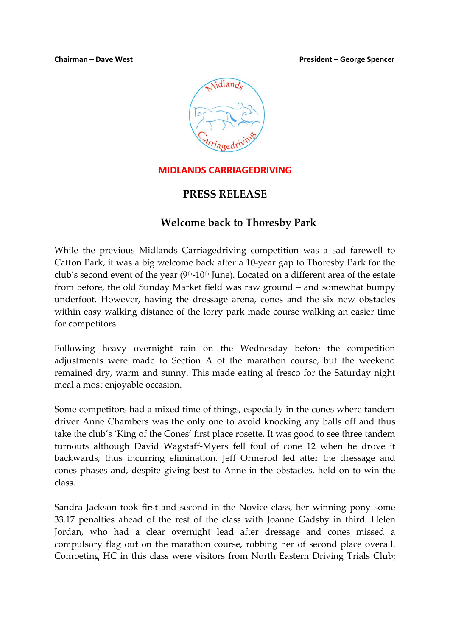#### **Chairman – Dave West President – George Spencer**



### **MIDLANDS CARRIAGEDRIVING**

### **PRESS RELEASE**

## **Welcome back to Thoresby Park**

While the previous Midlands Carriagedriving competition was a sad farewell to Catton Park, it was a big welcome back after a 10-year gap to Thoresby Park for the club's second event of the year ( $9<sup>th</sup>$ -10<sup>th</sup> June). Located on a different area of the estate from before, the old Sunday Market field was raw ground – and somewhat bumpy underfoot. However, having the dressage arena, cones and the six new obstacles within easy walking distance of the lorry park made course walking an easier time for competitors.

Following heavy overnight rain on the Wednesday before the competition adjustments were made to Section A of the marathon course, but the weekend remained dry, warm and sunny. This made eating al fresco for the Saturday night meal a most enjoyable occasion.

Some competitors had a mixed time of things, especially in the cones where tandem driver Anne Chambers was the only one to avoid knocking any balls off and thus take the club's 'King of the Cones' first place rosette. It was good to see three tandem turnouts although David Wagstaff-Myers fell foul of cone 12 when he drove it backwards, thus incurring elimination. Jeff Ormerod led after the dressage and cones phases and, despite giving best to Anne in the obstacles, held on to win the class.

Sandra Jackson took first and second in the Novice class, her winning pony some 33.17 penalties ahead of the rest of the class with Joanne Gadsby in third. Helen Jordan, who had a clear overnight lead after dressage and cones missed a compulsory flag out on the marathon course, robbing her of second place overall. Competing HC in this class were visitors from North Eastern Driving Trials Club;